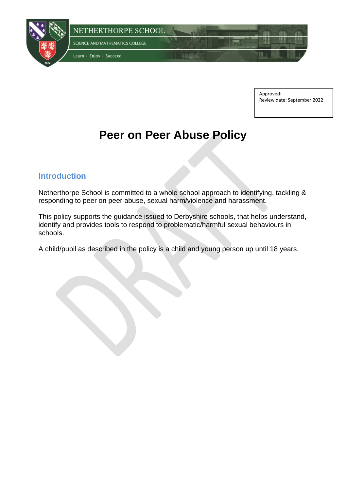

Approved: Review date: September 2022

# **Peer on Peer Abuse Policy**

#### **Introduction**

Netherthorpe School is committed to a whole school approach to identifying, tackling & responding to peer on peer abuse, sexual harm/violence and harassment.

This policy supports the guidance issued to Derbyshire schools, that helps understand, identify and provides tools to respond to problematic/harmful sexual behaviours in schools.

A child/pupil as described in the policy is a child and young person up until 18 years.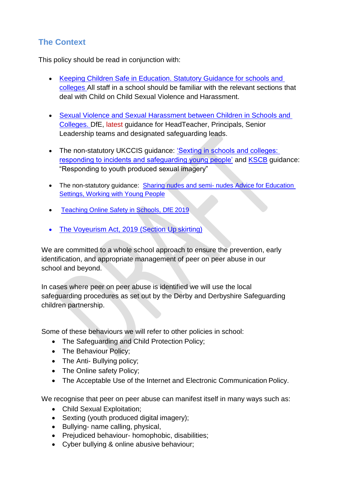# **The Context**

This policy should be read in conjunction with:

- Keeping Children Safe in Education. Statutory Guidance for schools and [colleges A](https://www.gov.uk/government/publications/keeping-children-safe-in-education--2)ll staff in a school should be familiar with the relevant sections that deal with Child on Child Sexual Violence and Harassment.
- [Sexual Violence and Sexual Harassment between Children in Schools and](https://www.gov.uk/government/publications/sexual-violence-and-sexual-harassment-between-children-in-schools-and-colleges)  [Colleges. D](https://www.gov.uk/government/publications/sexual-violence-and-sexual-harassment-between-children-in-schools-and-colleges)fE, latest guidance for HeadTeacher, Principals, Senior Leadership teams and designated safeguarding leads.
- The non-statutory UKCCIS quidance: 'Sexting in schools and colleges: [responding to incidents and safeguarding young people'](https://www.gov.uk/government/groups/uk-council-for-child-internet-safety-ukccis) and [KSCB](http://www.kscb.org.uk/guidance/online-safety) guidance: "Responding to youth produced sexual imagery"
- The non-statutory guidance: Sharing nudes and semi- nudes Advice for Education **[Settings, Working with Young People](file://///ntsvfs01.netherthorpe.derbyshire.sch.uk/StaffDocs/NConnolley/Downloads/•%09https:/www.gov.uk/government/publications/sharing-nudes-and-semi-nudes-advice-for-education-settings-working-with-children-and-young-people)**
- [Teaching Online Safety in Schools, DfE](https://www.gov.uk/government/publications/teaching-online-safety-in-schools) 2019
- [The Voyeurism Act, 2019 \(Section](https://www.gov.uk/government/publications/implementation-of-the-voyeurism-offences-act-2019) Up skirting)

We are committed to a whole school approach to ensure the prevention, early identification, and appropriate management of peer on peer abuse in our school and beyond.

In cases where peer on peer abuse is identified we will use the local safeguarding procedures as set out by the Derby and Derbyshire Safeguarding children partnership.

Some of these behaviours we will refer to other policies in school:

- The Safeguarding and Child Protection Policy;
- The Behaviour Policy;
- The Anti- Bullying policy;
- The Online safety Policy;
- The Acceptable Use of the Internet and Electronic Communication Policy.

We recognise that peer on peer abuse can manifest itself in many ways such as:

- Child Sexual Exploitation;
- Sexting (youth produced digital imagery);
- Bullying- name calling, physical,
- Prejudiced behaviour- homophobic, disabilities;
- Cyber bullying & online abusive behaviour;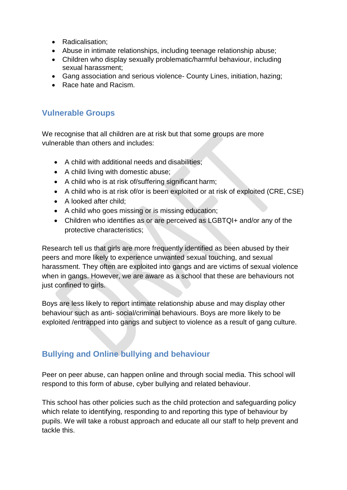- Radicalisation;
- Abuse in intimate relationships, including teenage relationship abuse;
- Children who display sexually problematic/harmful behaviour, including sexual harassment;
- Gang association and serious violence- County Lines, initiation, hazing;
- Race hate and Racism.

## **Vulnerable Groups**

We recognise that all children are at risk but that some groups are more vulnerable than others and includes:

- A child with additional needs and disabilities;
- A child living with domestic abuse;
- A child who is at risk of/suffering significant harm;
- A child who is at risk of/or is been exploited or at risk of exploited (CRE, CSE)
- A looked after child;
- A child who goes missing or is missing education;
- Children who identifies as or are perceived as LGBTQI+ and/or any of the protective characteristics;

Research tell us that girls are more frequently identified as been abused by their peers and more likely to experience unwanted sexual touching, and sexual harassment. They often are exploited into gangs and are victims of sexual violence when in gangs. However, we are aware as a school that these are behaviours not just confined to girls.

Boys are less likely to report intimate relationship abuse and may display other behaviour such as anti- social/criminal behaviours. Boys are more likely to be exploited /entrapped into gangs and subject to violence as a result of gang culture.

## **Bullying and Online bullying and behaviour**

Peer on peer abuse, can happen online and through social media. This school will respond to this form of abuse, cyber bullying and related behaviour.

This school has other policies such as the child protection and safeguarding policy which relate to identifying, responding to and reporting this type of behaviour by pupils. We will take a robust approach and educate all our staff to help prevent and tackle this.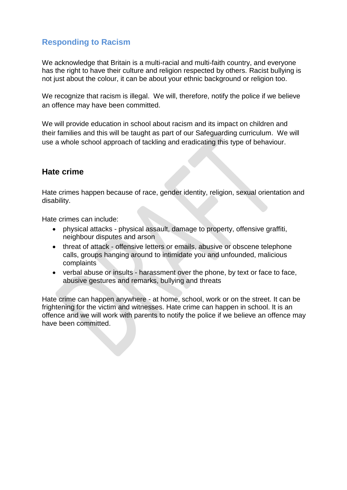# **Responding to Racism**

We acknowledge that Britain is a multi-racial and multi-faith country, and everyone has the right to have their culture and religion respected by others. Racist bullying is not just about the colour, it can be about your ethnic background or religion too.

We recognize that racism is illegal. We will, therefore, notify the police if we believe an offence may have been committed.

We will provide education in school about racism and its impact on children and their families and this will be taught as part of our Safeguarding curriculum. We will use a whole school approach of tackling and eradicating this type of behaviour.

### **Hate crime**

Hate crimes happen because of race, gender identity, religion, sexual orientation and disability.

Hate crimes can include:

- physical attacks physical assault, damage to property, offensive graffiti, neighbour disputes and arson
- threat of attack offensive letters or emails, abusive or obscene telephone calls, groups hanging around to intimidate you and unfounded, malicious complaints
- verbal abuse or insults harassment over the phone, by text or face to face, abusive gestures and remarks, bullying and threats

Hate crime can happen anywhere - at home, school, work or on the street. It can be frightening for the victim and witnesses. Hate crime can happen in school. It is an offence and we will work with parents to notify the police if we believe an offence may have been committed.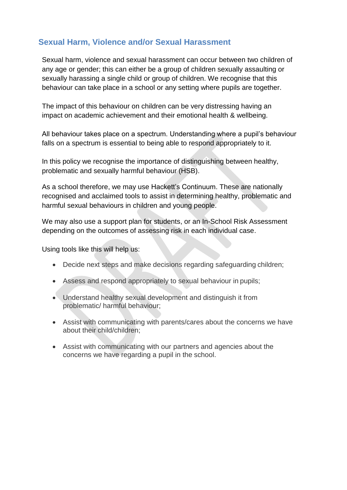## **Sexual Harm, Violence and/or Sexual Harassment**

Sexual harm, violence and sexual harassment can occur between two children of any age or gender; this can either be a group of children sexually assaulting or sexually harassing a single child or group of children. We recognise that this behaviour can take place in a school or any setting where pupils are together.

The impact of this behaviour on children can be very distressing having an impact on academic achievement and their emotional health & wellbeing.

All behaviour takes place on a spectrum. Understanding where a pupil's behaviour falls on a spectrum is essential to being able to respond appropriately to it.

In this policy we recognise the importance of distinguishing between healthy, problematic and sexually harmful behaviour (HSB).

As a school therefore, we may use Hackett's Continuum. These are nationally recognised and acclaimed tools to assist in determining healthy, problematic and harmful sexual behaviours in children and young people.

We may also use a support plan for students, or an In-School Risk Assessment depending on the outcomes of assessing risk in each individual case.

Using tools like this will help us:

- Decide next steps and make decisions regarding safeguarding children;
- Assess and respond appropriately to sexual behaviour in pupils;
- Understand healthy sexual development and distinguish it from problematic/ harmful behaviour;
- Assist with communicating with parents/cares about the concerns we have about their child/children;
- Assist with communicating with our partners and agencies about the concerns we have regarding a pupil in the school.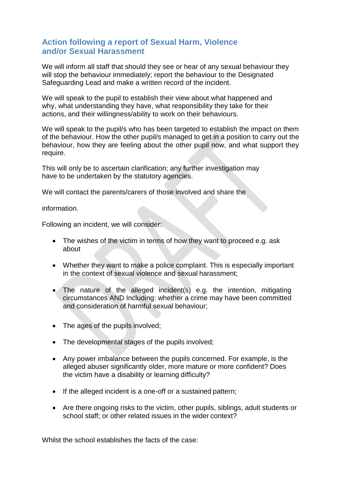#### **Action following a report of Sexual Harm, Violence and/or Sexual Harassment**

We will inform all staff that should they see or hear of any sexual behaviour they will stop the behaviour immediately; report the behaviour to the Designated Safeguarding Lead and make a written record of the incident.

We will speak to the pupil to establish their view about what happened and why, what understanding they have, what responsibility they take for their actions, and their willingness/ability to work on their behaviours.

We will speak to the pupil/s who has been targeted to establish the impact on them of the behaviour. How the other pupil/s managed to get in a position to carry out the behaviour, how they are feeling about the other pupil now, and what support they require.

This will only be to ascertain clarification; any further investigation may have to be undertaken by the statutory agencies.

We will contact the parents/carers of those involved and share the

information.

Following an incident, we will consider:

- The wishes of the victim in terms of how they want to proceed e.g. ask about
- Whether they want to make a police complaint. This is especially important in the context of sexual violence and sexual harassment;
- The nature of the alleged incident(s) e.g. the intention, mitigating circumstances AND Including: whether a crime may have been committed and consideration of harmful sexual behaviour;
- The ages of the pupils involved;
- The developmental stages of the pupils involved;
- Any power imbalance between the pupils concerned. For example, is the alleged abuser significantly older, more mature or more confident? Does the victim have a disability or learning difficulty?
- If the alleged incident is a one-off or a sustained pattern;
- Are there ongoing risks to the victim, other pupils, siblings, adult students or school staff; or other related issues in the wider context?

Whilst the school establishes the facts of the case: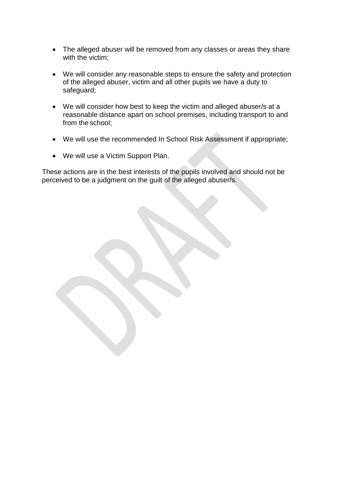- The alleged abuser will be removed from any classes or areas they share with the victim;
- We will consider any reasonable steps to ensure the safety and protection of the alleged abuser, victim and all other pupils we have a duty to safeguard;
- We will consider how best to keep the victim and alleged abuser/s at a reasonable distance apart on school premises, including transport to and from the school;
- We will use the recommended In School Risk Assessment if appropriate;
- We will use a Victim Support Plan.

These actions are in the best interests of the pupils involved and should not be perceived to be a judgment on the guilt of the alleged abuser/s.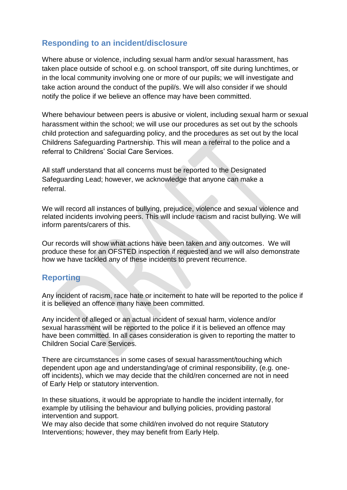## **Responding to an incident/disclosure**

Where abuse or violence, including sexual harm and/or sexual harassment, has taken place outside of school e.g. on school transport, off site during lunchtimes, or in the local community involving one or more of our pupils; we will investigate and take action around the conduct of the pupil/s. We will also consider if we should notify the police if we believe an offence may have been committed.

Where behaviour between peers is abusive or violent, including sexual harm or sexual harassment within the school; we will use our procedures as set out by the schools child protection and safeguarding policy, and the procedures as set out by the local Childrens Safeguarding Partnership. This will mean a referral to the police and a referral to Childrens' Social Care Services.

All staff understand that all concerns must be reported to the Designated Safeguarding Lead; however, we acknowledge that anyone can make a referral.

We will record all instances of bullying, prejudice, violence and sexual violence and related incidents involving peers. This will include racism and racist bullying. We will inform parents/carers of this.

Our records will show what actions have been taken and any outcomes. We will produce these for an OFSTED inspection if requested and we will also demonstrate how we have tackled any of these incidents to prevent recurrence.

#### **Reporting**

Any incident of racism, race hate or incitement to hate will be reported to the police if it is believed an offence many have been committed.

Any incident of alleged or an actual incident of sexual harm, violence and/or sexual harassment will be reported to the police if it is believed an offence may have been committed. In all cases consideration is given to reporting the matter to Children Social Care Services.

There are circumstances in some cases of sexual harassment/touching which dependent upon age and understanding/age of criminal responsibility, (e.g. oneoff incidents), which we may decide that the child/ren concerned are not in need of Early Help or statutory intervention.

In these situations, it would be appropriate to handle the incident internally, for example by utilising the behaviour and bullying policies, providing pastoral intervention and support.

We may also decide that some child/ren involved do not require Statutory Interventions; however, they may benefit from Early Help.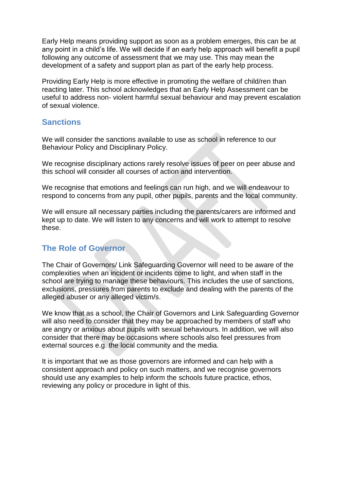Early Help means providing support as soon as a problem emerges, this can be at any point in a child's life. We will decide if an early help approach will benefit a pupil following any outcome of assessment that we may use. This may mean the development of a safety and support plan as part of the early help process.

Providing Early Help is more effective in promoting the welfare of child/ren than reacting later. This school acknowledges that an Early Help Assessment can be useful to address non- violent harmful sexual behaviour and may prevent escalation of sexual violence.

#### **Sanctions**

We will consider the sanctions available to use as school in reference to our Behaviour Policy and Disciplinary Policy.

We recognise disciplinary actions rarely resolve issues of peer on peer abuse and this school will consider all courses of action and intervention.

We recognise that emotions and feelings can run high, and we will endeavour to respond to concerns from any pupil, other pupils, parents and the local community.

We will ensure all necessary parties including the parents/carers are informed and kept up to date. We will listen to any concerns and will work to attempt to resolve these.

#### **The Role of Governor**

The Chair of Governors/ Link Safeguarding Governor will need to be aware of the complexities when an incident or incidents come to light, and when staff in the school are trying to manage these behaviours. This includes the use of sanctions, exclusions, pressures from parents to exclude and dealing with the parents of the alleged abuser or any alleged victim/s.

We know that as a school, the Chair of Governors and Link Safeguarding Governor will also need to consider that they may be approached by members of staff who are angry or anxious about pupils with sexual behaviours. In addition, we will also consider that there may be occasions where schools also feel pressures from external sources e.g. the local community and the media.

It is important that we as those governors are informed and can help with a consistent approach and policy on such matters, and we recognise governors should use any examples to help inform the schools future practice, ethos, reviewing any policy or procedure in light of this.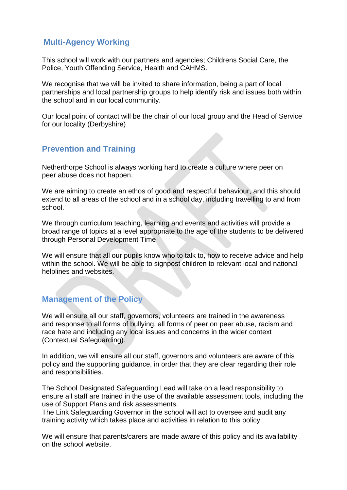## **Multi-Agency Working**

This school will work with our partners and agencies; Childrens Social Care, the Police, Youth Offending Service, Health and CAHMS.

We recognise that we will be invited to share information, being a part of local partnerships and local partnership groups to help identify risk and issues both within the school and in our local community.

Our local point of contact will be the chair of our local group and the Head of Service for our locality (Derbyshire)

## **Prevention and Training**

Netherthorpe School is always working hard to create a culture where peer on peer abuse does not happen.

We are aiming to create an ethos of good and respectful behaviour, and this should extend to all areas of the school and in a school day, including travelling to and from school.

We through curriculum teaching, learning and events and activities will provide a broad range of topics at a level appropriate to the age of the students to be delivered through Personal Development Time

We will ensure that all our pupils know who to talk to, how to receive advice and help within the school. We will be able to signpost children to relevant local and national helplines and websites.

#### **Management of the Policy**

We will ensure all our staff, governors, volunteers are trained in the awareness and response to all forms of bullying, all forms of peer on peer abuse, racism and race hate and including any local issues and concerns in the wider context (Contextual Safeguarding).

In addition, we will ensure all our staff, governors and volunteers are aware of this policy and the supporting guidance, in order that they are clear regarding their role and responsibilities.

The School Designated Safeguarding Lead will take on a lead responsibility to ensure all staff are trained in the use of the available assessment tools, including the use of Support Plans and risk assessments.

The Link Safeguarding Governor in the school will act to oversee and audit any training activity which takes place and activities in relation to this policy.

We will ensure that parents/carers are made aware of this policy and its availability on the school website.